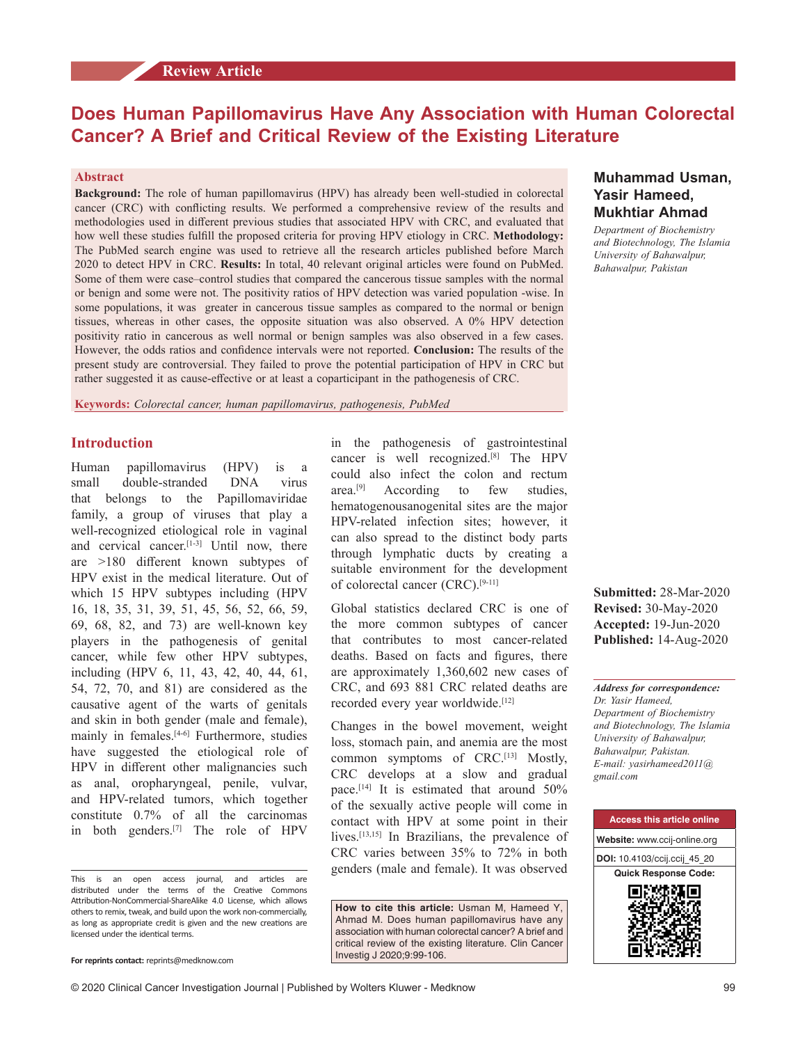# **Review Article**

# **Does Human Papillomavirus Have Any Association with Human Colorectal Cancer? A Brief and Critical Review of the Existing Literature**

#### **Abstract**

**Background:** The role of human papillomavirus (HPV) has already been well‑studied in colorectal cancer (CRC) with conflicting results. We performed a comprehensive review of the results and methodologies used in different previous studies that associated HPV with CRC, and evaluated that how well these studies fulfill the proposed criteria for proving HPV etiology in CRC. **Methodology:** The PubMed search engine was used to retrieve all the research articles published before March 2020 to detect HPV in CRC. **Results:** In total, 40 relevant original articles were found on PubMed. Some of them were case–control studies that compared the cancerous tissue samples with the normal or benign and some were not. The positivity ratios of HPV detection was varied population ‑wise. In some populations, it was greater in cancerous tissue samples as compared to the normal or benign tissues, whereas in other cases, the opposite situation was also observed. A 0% HPV detection positivity ratio in cancerous as well normal or benign samples was also observed in a few cases. However, the odds ratios and confidence intervals were not reported. **Conclusion:** The results of the present study are controversial. They failed to prove the potential participation of HPV in CRC but rather suggested it as cause-effective or at least a coparticipant in the pathogenesis of CRC.

**Keywords:** *Colorectal cancer, human papillomavirus, pathogenesis, PubMed*

# **Introduction**

Human papillomavirus (HPV) is a small double-stranded DNA virus that belongs to the Papillomaviridae family, a group of viruses that play a well-recognized etiological role in vaginal and cervical cancer.<sup>[1-3]</sup> Until now, there are >180 different known subtypes of HPV exist in the medical literature. Out of which 15 HPV subtypes including (HPV 16, 18, 35, 31, 39, 51, 45, 56, 52, 66, 59, 69, 68, 82, and 73) are well‑known key players in the pathogenesis of genital cancer, while few other HPV subtypes, including (HPV 6, 11, 43, 42, 40, 44, 61, 54, 72, 70, and 81) are considered as the causative agent of the warts of genitals and skin in both gender (male and female), mainly in females.<sup>[4-6]</sup> Furthermore, studies have suggested the etiological role of HPV in different other malignancies such as anal, oropharyngeal, penile, vulvar, and HPV‑related tumors, which together constitute 0.7% of all the carcinomas in both genders.[7] The role of HPV

in the pathogenesis of gastrointestinal cancer is well recognized.[8] The HPV could also infect the colon and rectum area.<sup>[9]</sup> According to few studies, hematogenousanogenital sites are the major HPV-related infection sites; however, it can also spread to the distinct body parts through lymphatic ducts by creating a suitable environment for the development of colorectal cancer (CRC).<sup>[9-11]</sup>

Global statistics declared CRC is one of the more common subtypes of cancer that contributes to most cancer-related deaths. Based on facts and figures, there are approximately 1,360,602 new cases of CRC, and 693 881 CRC related deaths are recorded every year worldwide.<sup>[12]</sup>

Changes in the bowel movement, weight loss, stomach pain, and anemia are the most common symptoms of CRC.<sup>[13]</sup> Mostly, CRC develops at a slow and gradual pace.[14] It is estimated that around 50% of the sexually active people will come in contact with HPV at some point in their lives.<sup>[13,15]</sup> In Brazilians, the prevalence of CRC varies between 35% to 72% in both genders (male and female). It was observed

**How to cite this article:** Usman M, Hameed Y, Ahmad M. Does human papillomavirus have any association with human colorectal cancer? A brief and critical review of the existing literature. Clin Cancer Investig J 2020;9:99-106.

# **Muhammad Usman, Yasir Hameed, Mukhtiar Ahmad**

*Department of Biochemistry and Biotechnology, The Islamia University of Bahawalpur, Bahawalpur, Pakistan*

**Submitted:** 28-Mar-2020 **Revised:** 30-May-2020 **Accepted:** 19-Jun-2020 **Published:** 14-Aug-2020

*Address for correspondence: Dr. Yasir Hameed, Department of Biochemistry and Biotechnology, The Islamia University of Bahawalpur, Bahawalpur, Pakistan. E‑mail: yasirhameed2011@ gmail.com*



This is an open access journal, and articles are distributed under the terms of the Creative Commons Attribution‑NonCommercial‑ShareAlike 4.0 License, which allows others to remix, tweak, and build upon the work non‑commercially, as long as appropriate credit is given and the new creations are licensed under the identical terms.

**For reprints contact:** reprints@medknow.com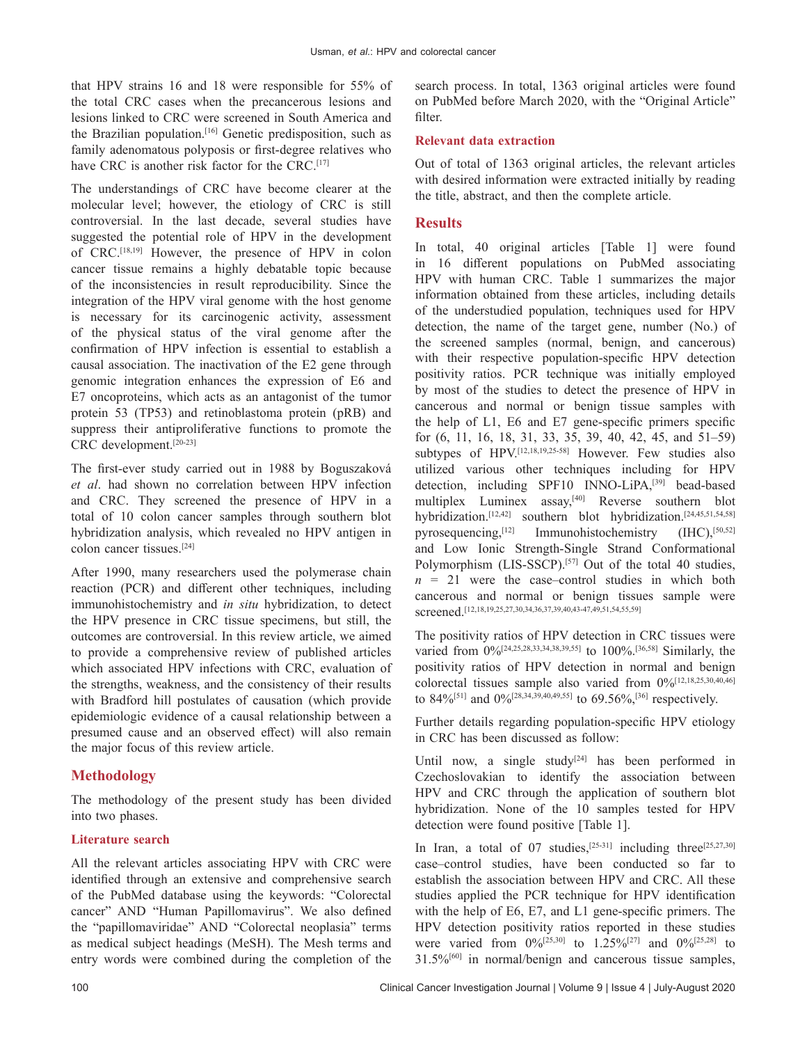that HPV strains 16 and 18 were responsible for 55% of the total CRC cases when the precancerous lesions and lesions linked to CRC were screened in South America and the Brazilian population.<sup>[16]</sup> Genetic predisposition, such as family adenomatous polyposis or first-degree relatives who have CRC is another risk factor for the CRC.<sup>[17]</sup>

The understandings of CRC have become clearer at the molecular level; however, the etiology of CRC is still controversial. In the last decade, several studies have suggested the potential role of HPV in the development of CRC.[18,19] However, the presence of HPV in colon cancer tissue remains a highly debatable topic because of the inconsistencies in result reproducibility. Since the integration of the HPV viral genome with the host genome is necessary for its carcinogenic activity, assessment of the physical status of the viral genome after the confirmation of HPV infection is essential to establish a causal association. The inactivation of the E2 gene through genomic integration enhances the expression of E6 and E7 oncoproteins, which acts as an antagonist of the tumor protein 53 (TP53) and retinoblastoma protein (pRB) and suppress their antiproliferative functions to promote the CRC development.[20‑23]

The first-ever study carried out in 1988 by Boguszaková *et al*. had shown no correlation between HPV infection and CRC. They screened the presence of HPV in a total of 10 colon cancer samples through southern blot hybridization analysis, which revealed no HPV antigen in colon cancer tissues.[24]

After 1990, many researchers used the polymerase chain reaction (PCR) and different other techniques, including immunohistochemistry and *in situ* hybridization, to detect the HPV presence in CRC tissue specimens, but still, the outcomes are controversial. In this review article, we aimed to provide a comprehensive review of published articles which associated HPV infections with CRC, evaluation of the strengths, weakness, and the consistency of their results with Bradford hill postulates of causation (which provide epidemiologic evidence of a causal relationship between a presumed cause and an observed effect) will also remain the major focus of this review article.

# **Methodology**

The methodology of the present study has been divided into two phases.

### **Literature search**

All the relevant articles associating HPV with CRC were identified through an extensive and comprehensive search of the PubMed database using the keywords: "Colorectal cancer" AND "Human Papillomavirus". We also defined the "papillomaviridae" AND "Colorectal neoplasia" terms as medical subject headings (MeSH). The Mesh terms and entry words were combined during the completion of the search process. In total, 1363 original articles were found on PubMed before March 2020, with the "Original Article" filter.

### **Relevant data extraction**

Out of total of 1363 original articles, the relevant articles with desired information were extracted initially by reading the title, abstract, and then the complete article.

# **Results**

In total, 40 original articles [Table 1] were found in 16 different populations on PubMed associating HPV with human CRC. Table 1 summarizes the major information obtained from these articles, including details of the understudied population, techniques used for HPV detection, the name of the target gene, number (No.) of the screened samples (normal, benign, and cancerous) with their respective population-specific HPV detection positivity ratios. PCR technique was initially employed by most of the studies to detect the presence of HPV in cancerous and normal or benign tissue samples with the help of L1, E6 and E7 gene‑specific primers specific for (6, 11, 16, 18, 31, 33, 35, 39, 40, 42, 45, and 51–59) subtypes of HPV.<sup>[12,18,19,25-58]</sup> However. Few studies also utilized various other techniques including for HPV detection, including SPF10 INNO-LiPA,<sup>[39]</sup> bead-based multiplex Luminex assay,<sup>[40]</sup> Reverse southern blot hybridization.<sup>[12,42]</sup> southern blot hybridization.<sup>[24,45,51,54,58]</sup> pyrosequencing,[12] Immunohistochemistry (IHC),[50,52] and Low Ionic Strength‑Single Strand Conformational Polymorphism (LIS-SSCP).<sup>[57]</sup> Out of the total 40 studies,  $n = 21$  were the case–control studies in which both cancerous and normal or benign tissues sample were screened.<sup>[12,18,19,25,27,30,34,36,37,39,40,43-47,49,51,54,55,59]</sup>

The positivity ratios of HPV detection in CRC tissues were varied from 0%<sup>[24,25,28,33,34,38,39,55]</sup> to 100%<sup>[36,58]</sup> Similarly, the positivity ratios of HPV detection in normal and benign colorectal tissues sample also varied from  $0\frac{6}{12,18,25,30,40,46}$ to  $84\%/511}$  and  $0\%/128,34,39,40,49,551$  to  $69.56\%/561$  respectively.

Further details regarding population-specific HPV etiology in CRC has been discussed as follow:

Until now, a single study<sup>[24]</sup> has been performed in Czechoslovakian to identify the association between HPV and CRC through the application of southern blot hybridization. None of the 10 samples tested for HPV detection were found positive [Table 1].

In Iran, a total of 07 studies,<sup>[25-31]</sup> including three<sup>[25,27,30]</sup> case–control studies, have been conducted so far to establish the association between HPV and CRC. All these studies applied the PCR technique for HPV identification with the help of E6, E7, and L1 gene-specific primers. The HPV detection positivity ratios reported in these studies were varied from  $0\%^{[25,30]}$  to  $1.25\%^{[27]}$  and  $0\%^{[25,28]}$  to 31.5%[60] in normal/benign and cancerous tissue samples,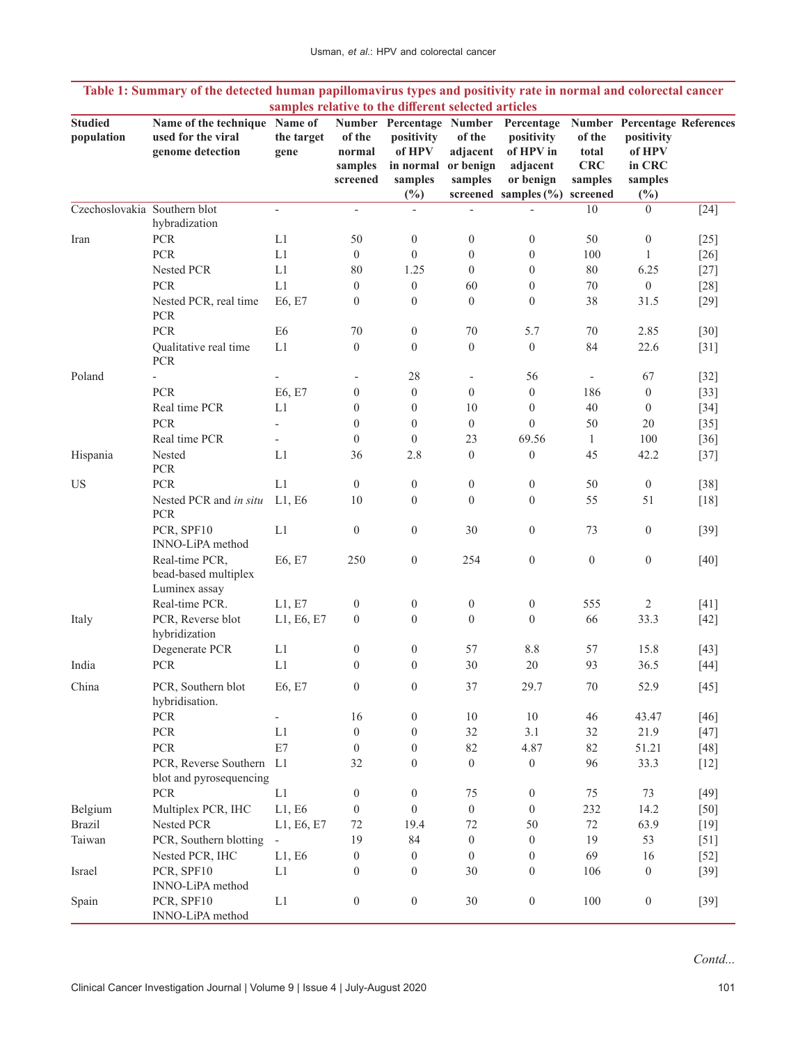| <b>Studied</b>               | Name of the technique Name of                           |                          |                                         | Number Percentage Number                     |                                            | Percentage                                       |                                          | <b>Number Percentage References</b>       |        |
|------------------------------|---------------------------------------------------------|--------------------------|-----------------------------------------|----------------------------------------------|--------------------------------------------|--------------------------------------------------|------------------------------------------|-------------------------------------------|--------|
| population                   | used for the viral<br>genome detection                  | the target<br>gene       | of the<br>normal<br>samples<br>screened | positivity<br>of HPV<br>in normal<br>samples | of the<br>adjacent<br>or benign<br>samples | positivity<br>of HPV in<br>adjacent<br>or benign | of the<br>total<br><b>CRC</b><br>samples | positivity<br>of HPV<br>in CRC<br>samples |        |
| Czechoslovakia Southern blot |                                                         |                          |                                         | $(\%)$                                       |                                            | screened samples $(\% )$                         | screened                                 | (%)                                       |        |
|                              | hybradization                                           | $\overline{\phantom{a}}$ | $\overline{\phantom{0}}$                | $\qquad \qquad \blacksquare$                 |                                            |                                                  | 10                                       | $\overline{0}$                            | $[24]$ |
| Iran                         | <b>PCR</b>                                              | L1                       | 50                                      | $\boldsymbol{0}$                             | $\boldsymbol{0}$                           | $\boldsymbol{0}$                                 | 50                                       | $\boldsymbol{0}$                          | $[25]$ |
|                              | PCR                                                     | L1                       | $\boldsymbol{0}$                        | $\mathbf{0}$                                 | $\boldsymbol{0}$                           | $\boldsymbol{0}$                                 | 100                                      | $\mathbf{1}$                              | $[26]$ |
|                              | Nested PCR                                              | L1                       | 80                                      | 1.25                                         | $\boldsymbol{0}$                           | $\boldsymbol{0}$                                 | 80                                       | 6.25                                      | $[27]$ |
|                              | PCR                                                     | L1                       | $\boldsymbol{0}$                        | $\boldsymbol{0}$                             | 60                                         | $\boldsymbol{0}$                                 | 70                                       | $\boldsymbol{0}$                          | $[28]$ |
|                              | Nested PCR, real time<br>PCR                            | E6, E7                   | $\boldsymbol{0}$                        | $\boldsymbol{0}$                             | $\boldsymbol{0}$                           | $\boldsymbol{0}$                                 | 38                                       | 31.5                                      | $[29]$ |
|                              | <b>PCR</b>                                              | E <sub>6</sub>           | 70                                      | $\theta$                                     | 70                                         | 5.7                                              | 70                                       | 2.85                                      | $[30]$ |
|                              | Qualitative real time<br><b>PCR</b>                     | L1                       | $\boldsymbol{0}$                        | $\boldsymbol{0}$                             | $\boldsymbol{0}$                           | $\boldsymbol{0}$                                 | 84                                       | 22.6                                      | $[31]$ |
| Poland                       | $\frac{1}{2}$                                           | $\overline{\phantom{a}}$ | $\qquad \qquad -$                       | 28                                           | $\overline{\phantom{a}}$                   | 56                                               | $\overline{\phantom{a}}$                 | 67                                        | $[32]$ |
|                              | <b>PCR</b>                                              | E6, E7                   | $\boldsymbol{0}$                        | $\mathbf{0}$                                 | $\boldsymbol{0}$                           | $\boldsymbol{0}$                                 | 186                                      | $\mathbf{0}$                              | $[33]$ |
|                              | Real time PCR                                           | L1                       | $\boldsymbol{0}$                        | $\mathbf{0}$                                 | 10                                         | $\boldsymbol{0}$                                 | 40                                       | $\mathbf{0}$                              | $[34]$ |
|                              | <b>PCR</b>                                              | $\overline{\phantom{a}}$ | $\boldsymbol{0}$                        | $\mathbf{0}$                                 | $\boldsymbol{0}$                           | $\mathbf{0}$                                     | 50                                       | 20                                        | $[35]$ |
|                              | Real time PCR                                           | $\overline{\phantom{a}}$ | $\boldsymbol{0}$                        | $\mathbf{0}$                                 | 23                                         | 69.56                                            | $\mathbf{1}$                             | 100                                       | $[36]$ |
| Hispania                     | Nested<br>PCR                                           | L1                       | 36                                      | 2.8                                          | $\boldsymbol{0}$                           | $\boldsymbol{0}$                                 | 45                                       | 42.2                                      | $[37]$ |
| US                           | <b>PCR</b>                                              | L1                       | $\boldsymbol{0}$                        | $\boldsymbol{0}$                             | $\boldsymbol{0}$                           | $\boldsymbol{0}$                                 | 50                                       | $\boldsymbol{0}$                          | $[38]$ |
|                              | Nested PCR and in situ<br><b>PCR</b>                    | L1, E6                   | 10                                      | $\theta$                                     | $\theta$                                   | $\boldsymbol{0}$                                 | 55                                       | 51                                        | $[18]$ |
|                              | PCR, SPF10<br>INNO-LiPA method                          | L1                       | $\boldsymbol{0}$                        | $\mathbf{0}$                                 | 30                                         | $\boldsymbol{0}$                                 | 73                                       | $\boldsymbol{0}$                          | $[39]$ |
|                              | Real-time PCR,<br>bead-based multiplex<br>Luminex assay | E6, E7                   | 250                                     | $\boldsymbol{0}$                             | 254                                        | $\boldsymbol{0}$                                 | $\boldsymbol{0}$                         | $\boldsymbol{0}$                          | $[40]$ |
|                              | Real-time PCR.                                          | L1, E7                   | $\boldsymbol{0}$                        | $\boldsymbol{0}$                             | $\boldsymbol{0}$                           | $\boldsymbol{0}$                                 | 555                                      | 2                                         | $[41]$ |
| Italy                        | PCR, Reverse blot<br>hybridization                      | L1, E6, E7               | $\boldsymbol{0}$                        | $\overline{0}$                               | $\theta$                                   | $\theta$                                         | 66                                       | 33.3                                      | $[42]$ |
|                              | Degenerate PCR                                          | L1                       | $\boldsymbol{0}$                        | $\boldsymbol{0}$                             | 57                                         | $8.8\,$                                          | 57                                       | 15.8                                      | $[43]$ |
| India                        | <b>PCR</b>                                              | L1                       | $\boldsymbol{0}$                        | $\boldsymbol{0}$                             | 30                                         | $20\,$                                           | 93                                       | 36.5                                      | $[44]$ |
| China                        | PCR, Southern blot<br>hybridisation.                    | E6, E7                   | $\mathbf{0}$                            | $\theta$                                     | 37                                         | 29.7                                             | 70                                       | 52.9                                      | $[45]$ |
|                              | PCR                                                     | $\overline{\phantom{a}}$ | 16                                      | $\boldsymbol{0}$                             | 10                                         | $10\,$                                           | 46                                       | 43.47                                     | $[46]$ |
|                              | ${\mbox{PCR}}$                                          | L1                       | $\boldsymbol{0}$                        | $\mathbf{0}$                                 | 32                                         | 3.1                                              | 32                                       | 21.9                                      | $[47]$ |
|                              | ${\mbox{PCR}}$                                          | E7                       | $\boldsymbol{0}$                        | $\boldsymbol{0}$                             | 82                                         | 4.87                                             | 82                                       | 51.21                                     | $[48]$ |
|                              | PCR, Reverse Southern L1<br>blot and pyrosequencing     |                          | 32                                      | $\boldsymbol{0}$                             | $\boldsymbol{0}$                           | $\boldsymbol{0}$                                 | 96                                       | 33.3                                      | $[12]$ |
|                              | <b>PCR</b>                                              | L1                       | $\boldsymbol{0}$                        | $\mathbf{0}$                                 | 75                                         | $\boldsymbol{0}$                                 | 75                                       | 73                                        | $[49]$ |
| Belgium                      | Multiplex PCR, IHC                                      | L1, E6                   | $\boldsymbol{0}$                        | $\mathbf{0}$                                 | $\boldsymbol{0}$                           | $\mathbf{0}$                                     | 232                                      | 14.2                                      | $[50]$ |
| <b>Brazil</b>                | Nested PCR                                              | L1, E6, E7               | $72\,$                                  | 19.4                                         | 72                                         | 50                                               | 72                                       | 63.9                                      | $[19]$ |
| Taiwan                       | PCR, Southern blotting                                  | $\overline{\phantom{a}}$ | 19                                      | 84                                           | $\boldsymbol{0}$                           | $\boldsymbol{0}$                                 | 19                                       | 53                                        | $[51]$ |
|                              | Nested PCR, IHC                                         | L1, E6                   | $\boldsymbol{0}$                        | $\boldsymbol{0}$                             | $\boldsymbol{0}$                           | $\boldsymbol{0}$                                 | 69                                       | 16                                        | $[52]$ |
| Israel                       | PCR, SPF10<br>INNO-LiPA method                          | L1                       | $\boldsymbol{0}$                        | $\theta$                                     | 30                                         | $\boldsymbol{0}$                                 | 106                                      | $\mathbf{0}$                              | $[39]$ |
| Spain                        | PCR, SPF10<br>INNO-LiPA method                          | $\mathop{\rm L{1}}$      | $\boldsymbol{0}$                        | $\boldsymbol{0}$                             | $30\,$                                     | $\boldsymbol{0}$                                 | 100                                      | $\boldsymbol{0}$                          | $[39]$ |

# **Table 1: Summary of the detected human papillomavirus types and positivity rate in normal and colorectal cancer samples relative to the different selected articles**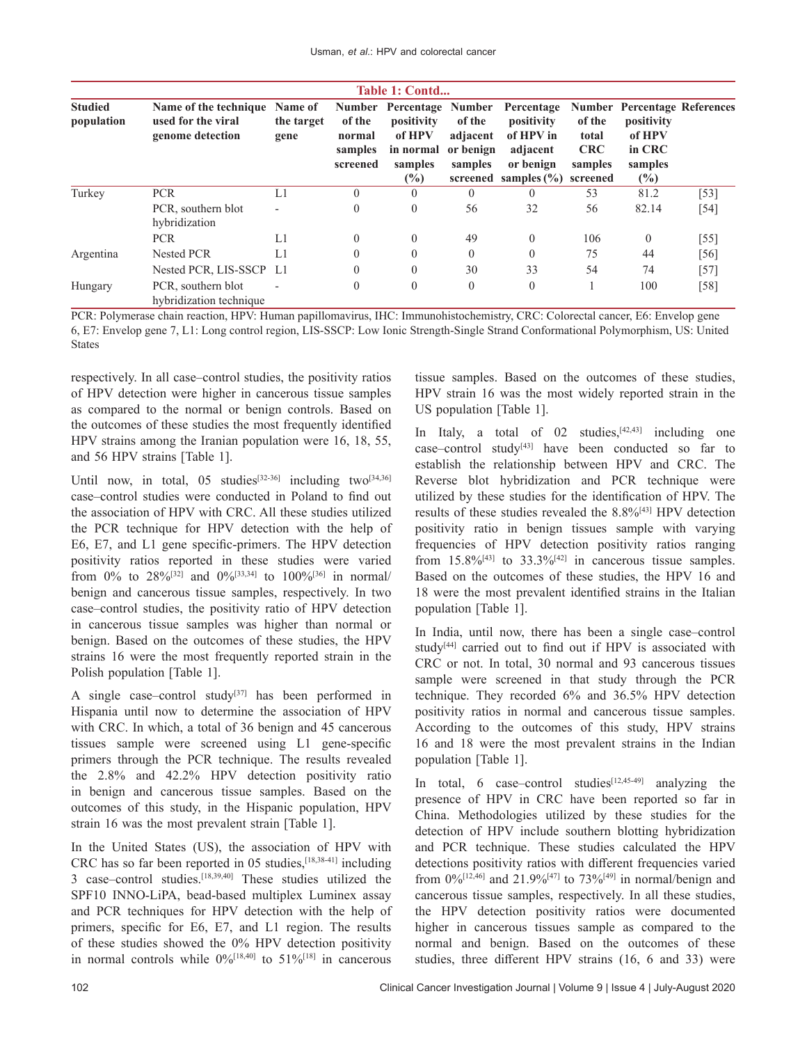| Table 1: Contd               |                                                                 |                               |                                         |                                                               |                                            |                                                                                                                     |                                                      |                                                                                         |        |  |
|------------------------------|-----------------------------------------------------------------|-------------------------------|-----------------------------------------|---------------------------------------------------------------|--------------------------------------------|---------------------------------------------------------------------------------------------------------------------|------------------------------------------------------|-----------------------------------------------------------------------------------------|--------|--|
| <b>Studied</b><br>population | Name of the technique<br>used for the viral<br>genome detection | Name of<br>the target<br>gene | of the<br>normal<br>samples<br>screened | positivity<br>of HPV<br>in normal<br>samples<br>$\frac{6}{2}$ | of the<br>adjacent<br>or benign<br>samples | Number Percentage Number Percentage<br>positivity<br>of HPV in<br>adjacent<br>or benign<br>screened samples $(\% )$ | of the<br>total<br><b>CRC</b><br>samples<br>screened | <b>Number Percentage References</b><br>positivity<br>of HPV<br>in CRC<br>samples<br>(%) |        |  |
| Turkey                       | <b>PCR</b>                                                      | L1                            | $\theta$                                | $\theta$                                                      | $\Omega$                                   | $\Omega$                                                                                                            | 53                                                   | 81.2                                                                                    | [53]   |  |
|                              | PCR, southern blot<br>hybridization                             | $\overline{\phantom{0}}$      | $\theta$                                | $\theta$                                                      | 56                                         | 32                                                                                                                  | 56                                                   | 82.14                                                                                   | $[54]$ |  |
|                              | <b>PCR</b>                                                      | L1                            | $\theta$                                | $\theta$                                                      | 49                                         | $\mathbf{0}$                                                                                                        | 106                                                  | $\theta$                                                                                | $[55]$ |  |
| Argentina                    | <b>Nested PCR</b>                                               | L1                            | $\overline{0}$                          | $\theta$                                                      | $\theta$                                   | $\theta$                                                                                                            | 75                                                   | 44                                                                                      | $[56]$ |  |
|                              | Nested PCR, LIS-SSCP L1                                         |                               | $\theta$                                | $\theta$                                                      | 30                                         | 33                                                                                                                  | 54                                                   | 74                                                                                      | $[57]$ |  |
| Hungary                      | PCR, southern blot<br>hybridization technique                   | $\overline{\phantom{0}}$      | $\theta$                                | $\theta$                                                      | $\overline{0}$                             | $\theta$                                                                                                            |                                                      | 100                                                                                     | $[58]$ |  |

PCR: Polymerase chain reaction, HPV: Human papillomavirus, IHC: Immunohistochemistry, CRC: Colorectal cancer, E6: Envelop gene 6, E7: Envelop gene 7, L1: Long control region, LIS‑SSCP: Low Ionic Strength‑Single Strand Conformational Polymorphism, US: United States

respectively. In all case–control studies, the positivity ratios of HPV detection were higher in cancerous tissue samples as compared to the normal or benign controls. Based on the outcomes of these studies the most frequently identified HPV strains among the Iranian population were 16, 18, 55, and 56 HPV strains [Table 1].

Until now, in total, 05 studies<sup>[32-36]</sup> including two<sup>[34,36]</sup> case–control studies were conducted in Poland to find out the association of HPV with CRC. All these studies utilized the PCR technique for HPV detection with the help of E6, E7, and L1 gene specific-primers. The HPV detection positivity ratios reported in these studies were varied from 0% to 28%<sup>[32]</sup> and 0%<sup>[33,34]</sup> to 100%<sup>[36]</sup> in normal/ benign and cancerous tissue samples, respectively. In two case–control studies, the positivity ratio of HPV detection in cancerous tissue samples was higher than normal or benign. Based on the outcomes of these studies, the HPV strains 16 were the most frequently reported strain in the Polish population [Table 1].

A single case–control study<sup>[37]</sup> has been performed in Hispania until now to determine the association of HPV with CRC. In which, a total of 36 benign and 45 cancerous tissues sample were screened using L1 gene‑specific primers through the PCR technique. The results revealed the 2.8% and 42.2% HPV detection positivity ratio in benign and cancerous tissue samples. Based on the outcomes of this study, in the Hispanic population, HPV strain 16 was the most prevalent strain [Table 1].

In the United States (US), the association of HPV with CRC has so far been reported in 05 studies,[18,38‑41] including 3 case–control studies.[18,39,40] These studies utilized the SPF10 INNO-LiPA, bead-based multiplex Luminex assay and PCR techniques for HPV detection with the help of primers, specific for E6, E7, and L1 region. The results of these studies showed the 0% HPV detection positivity in normal controls while  $0\%$ <sup>[18,40]</sup> to  $51\%$ <sup>[18]</sup> in cancerous tissue samples. Based on the outcomes of these studies, HPV strain 16 was the most widely reported strain in the US population [Table 1].

In Italy, a total of  $02$  studies,  $[42,43]$  including one case–control study $[43]$  have been conducted so far to establish the relationship between HPV and CRC. The Reverse blot hybridization and PCR technique were utilized by these studies for the identification of HPV. The results of these studies revealed the 8.8%<sup>[43]</sup> HPV detection positivity ratio in benign tissues sample with varying frequencies of HPV detection positivity ratios ranging from  $15.8\%$ <sup>[43]</sup> to  $33.3\%$ <sup>[42]</sup> in cancerous tissue samples. Based on the outcomes of these studies, the HPV 16 and 18 were the most prevalent identified strains in the Italian population [Table 1].

In India, until now, there has been a single case–control study<sup>[44]</sup> carried out to find out if HPV is associated with CRC or not. In total, 30 normal and 93 cancerous tissues sample were screened in that study through the PCR technique. They recorded 6% and 36.5% HPV detection positivity ratios in normal and cancerous tissue samples. According to the outcomes of this study, HPV strains 16 and 18 were the most prevalent strains in the Indian population [Table 1].

In total, 6  $case$ –control studies<sup>[12,45-49]</sup> analyzing the presence of HPV in CRC have been reported so far in China. Methodologies utilized by these studies for the detection of HPV include southern blotting hybridization and PCR technique. These studies calculated the HPV detections positivity ratios with different frequencies varied from  $0\%$ <sup>[12,46]</sup> and 21.9%<sup>[47]</sup> to 73%<sup>[49]</sup> in normal/benign and cancerous tissue samples, respectively. In all these studies, the HPV detection positivity ratios were documented higher in cancerous tissues sample as compared to the normal and benign. Based on the outcomes of these studies, three different HPV strains (16, 6 and 33) were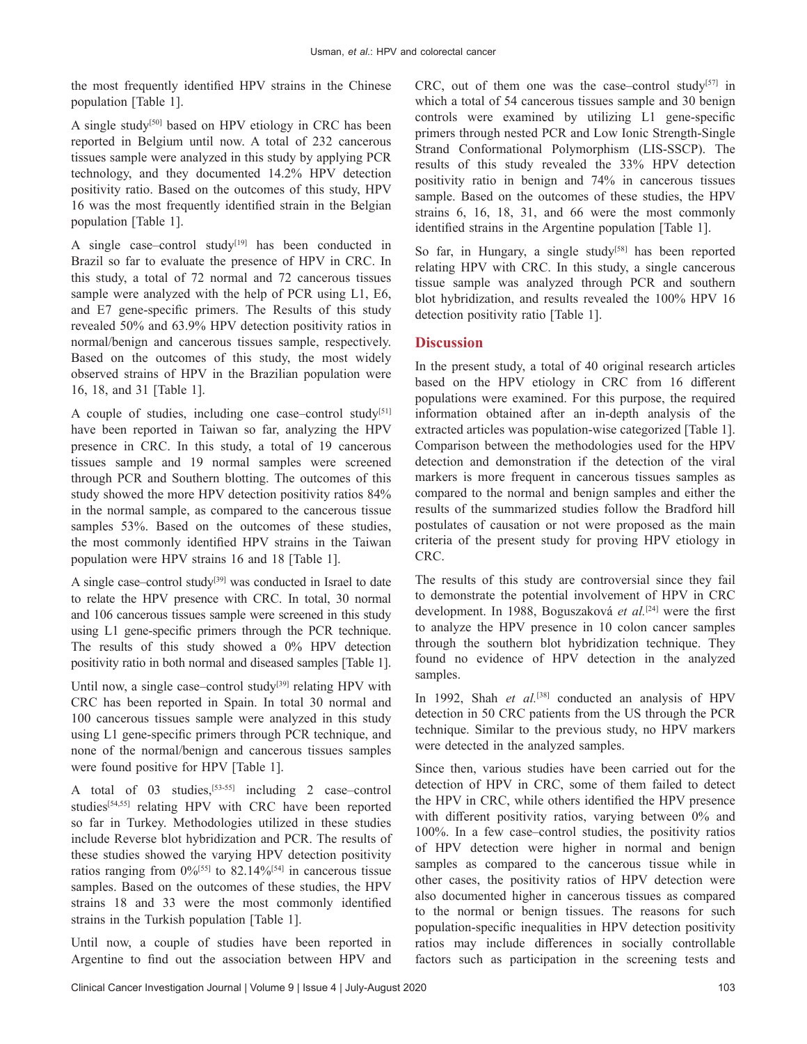the most frequently identified HPV strains in the Chinese population [Table 1].

A single study[50] based on HPV etiology in CRC has been reported in Belgium until now. A total of 232 cancerous tissues sample were analyzed in this study by applying PCR technology, and they documented 14.2% HPV detection positivity ratio. Based on the outcomes of this study, HPV 16 was the most frequently identified strain in the Belgian population [Table 1].

A single case–control study $[19]$  has been conducted in Brazil so far to evaluate the presence of HPV in CRC. In this study, a total of 72 normal and 72 cancerous tissues sample were analyzed with the help of PCR using L1, E6, and E7 gene‑specific primers. The Results of this study revealed 50% and 63.9% HPV detection positivity ratios in normal/benign and cancerous tissues sample, respectively. Based on the outcomes of this study, the most widely observed strains of HPV in the Brazilian population were 16, 18, and 31 [Table 1].

A couple of studies, including one case–control study<sup>[51]</sup> have been reported in Taiwan so far, analyzing the HPV presence in CRC. In this study, a total of 19 cancerous tissues sample and 19 normal samples were screened through PCR and Southern blotting. The outcomes of this study showed the more HPV detection positivity ratios 84% in the normal sample, as compared to the cancerous tissue samples 53%. Based on the outcomes of these studies, the most commonly identified HPV strains in the Taiwan population were HPV strains 16 and 18 [Table 1].

A single case–control study<sup>[39]</sup> was conducted in Israel to date to relate the HPV presence with CRC. In total, 30 normal and 106 cancerous tissues sample were screened in this study using L1 gene-specific primers through the PCR technique. The results of this study showed a 0% HPV detection positivity ratio in both normal and diseased samples [Table 1].

Until now, a single case–control study<sup>[39]</sup> relating HPV with CRC has been reported in Spain. In total 30 normal and 100 cancerous tissues sample were analyzed in this study using L1 gene‑specific primers through PCR technique, and none of the normal/benign and cancerous tissues samples were found positive for HPV [Table 1].

A total of 03 studies,<sup>[53-55]</sup> including 2 case–control studies<sup>[54,55]</sup> relating HPV with CRC have been reported so far in Turkey. Methodologies utilized in these studies include Reverse blot hybridization and PCR. The results of these studies showed the varying HPV detection positivity ratios ranging from  $0\%$ <sup>[55]</sup> to 82.14%<sup>[54]</sup> in cancerous tissue samples. Based on the outcomes of these studies, the HPV strains 18 and 33 were the most commonly identified strains in the Turkish population [Table 1].

Until now, a couple of studies have been reported in Argentine to find out the association between HPV and CRC, out of them one was the case–control study<sup>[57]</sup> in which a total of 54 cancerous tissues sample and 30 benign controls were examined by utilizing L1 gene-specific primers through nested PCR and Low Ionic Strength-Single Strand Conformational Polymorphism (LIS‑SSCP). The results of this study revealed the 33% HPV detection positivity ratio in benign and 74% in cancerous tissues sample. Based on the outcomes of these studies, the HPV strains 6, 16, 18, 31, and 66 were the most commonly identified strains in the Argentine population [Table 1].

So far, in Hungary, a single study<sup>[58]</sup> has been reported relating HPV with CRC. In this study, a single cancerous tissue sample was analyzed through PCR and southern blot hybridization, and results revealed the 100% HPV 16 detection positivity ratio [Table 1].

# **Discussion**

In the present study, a total of 40 original research articles based on the HPV etiology in CRC from 16 different populations were examined. For this purpose, the required information obtained after an in‑depth analysis of the extracted articles was population-wise categorized [Table 1]. Comparison between the methodologies used for the HPV detection and demonstration if the detection of the viral markers is more frequent in cancerous tissues samples as compared to the normal and benign samples and either the results of the summarized studies follow the Bradford hill postulates of causation or not were proposed as the main criteria of the present study for proving HPV etiology in CRC.

The results of this study are controversial since they fail to demonstrate the potential involvement of HPV in CRC development. In 1988, Boguszaková *et al.*[24] were the first to analyze the HPV presence in 10 colon cancer samples through the southern blot hybridization technique. They found no evidence of HPV detection in the analyzed samples.

In 1992, Shah *et al.*<sup>[38]</sup> conducted an analysis of HPV detection in 50 CRC patients from the US through the PCR technique. Similar to the previous study, no HPV markers were detected in the analyzed samples.

Since then, various studies have been carried out for the detection of HPV in CRC, some of them failed to detect the HPV in CRC, while others identified the HPV presence with different positivity ratios, varying between 0% and 100%. In a few case–control studies, the positivity ratios of HPV detection were higher in normal and benign samples as compared to the cancerous tissue while in other cases, the positivity ratios of HPV detection were also documented higher in cancerous tissues as compared to the normal or benign tissues. The reasons for such population‑specific inequalities in HPV detection positivity ratios may include differences in socially controllable factors such as participation in the screening tests and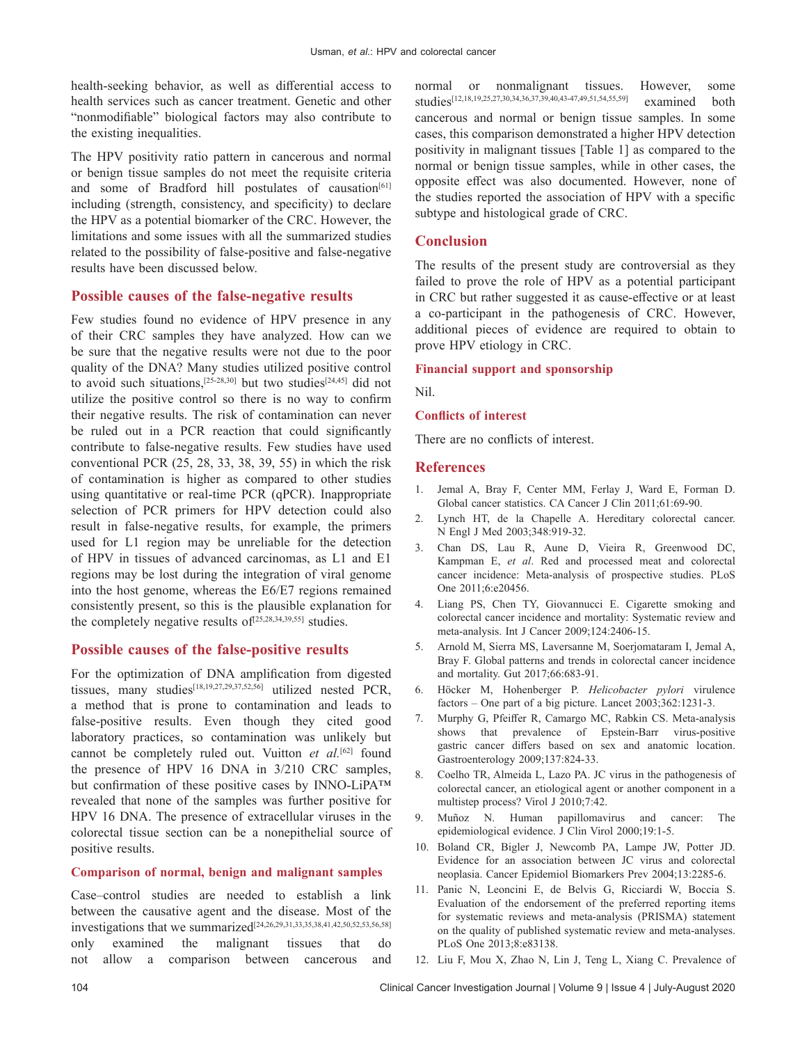health-seeking behavior, as well as differential access to health services such as cancer treatment. Genetic and other "nonmodifiable" biological factors may also contribute to the existing inequalities.

The HPV positivity ratio pattern in cancerous and normal or benign tissue samples do not meet the requisite criteria and some of Bradford hill postulates of causation<sup>[61]</sup> including (strength, consistency, and specificity) to declare the HPV as a potential biomarker of the CRC. However, the limitations and some issues with all the summarized studies related to the possibility of false-positive and false-negative results have been discussed below.

## **Possible causes of the false‑negative results**

Few studies found no evidence of HPV presence in any of their CRC samples they have analyzed. How can we be sure that the negative results were not due to the poor quality of the DNA? Many studies utilized positive control to avoid such situations,<sup>[25-28,30]</sup> but two studies<sup>[24,45]</sup> did not utilize the positive control so there is no way to confirm their negative results. The risk of contamination can never be ruled out in a PCR reaction that could significantly contribute to false-negative results. Few studies have used conventional PCR (25, 28, 33, 38, 39, 55) in which the risk of contamination is higher as compared to other studies using quantitative or real-time PCR (qPCR). Inappropriate selection of PCR primers for HPV detection could also result in false-negative results, for example, the primers used for L1 region may be unreliable for the detection of HPV in tissues of advanced carcinomas, as L1 and E1 regions may be lost during the integration of viral genome into the host genome, whereas the E6/E7 regions remained consistently present, so this is the plausible explanation for the completely negative results of  $[25,28,34,39,55]$  studies.

### **Possible causes of the false‑positive results**

For the optimization of DNA amplification from digested tissues, many studies<sup>[18,19,27,29,37,52,56]</sup> utilized nested PCR, a method that is prone to contamination and leads to false-positive results. Even though they cited good laboratory practices, so contamination was unlikely but cannot be completely ruled out. Vuitton *et al.*[62] found the presence of HPV 16 DNA in 3/210 CRC samples, but confirmation of these positive cases by INNO-LiPA™ revealed that none of the samples was further positive for HPV 16 DNA. The presence of extracellular viruses in the colorectal tissue section can be a nonepithelial source of positive results.

### **Comparison of normal, benign and malignant samples**

Case–control studies are needed to establish a link between the causative agent and the disease. Most of the investigations that we summarized[24,26,29,31,33,35,38,41,42,50,52,53,56,58] only examined the malignant tissues that do not allow a comparison between cancerous and normal or nonmalignant tissues. However, some studies[12,18,19,25,27,30,34,36,37,39,40,43‑47,49,51,54,55,59] examined both cancerous and normal or benign tissue samples. In some cases, this comparison demonstrated a higher HPV detection positivity in malignant tissues [Table 1] as compared to the normal or benign tissue samples, while in other cases, the opposite effect was also documented. However, none of the studies reported the association of HPV with a specific subtype and histological grade of CRC.

### **Conclusion**

The results of the present study are controversial as they failed to prove the role of HPV as a potential participant in CRC but rather suggested it as cause-effective or at least a co‑participant in the pathogenesis of CRC. However, additional pieces of evidence are required to obtain to prove HPV etiology in CRC.

### **Financial support and sponsorship**

Nil.

#### **Conflicts of interest**

There are no conflicts of interest.

### **References**

- 1. Jemal A, Bray F, Center MM, Ferlay J, Ward E, Forman D. Global cancer statistics. CA Cancer J Clin 2011;61:69-90.
- 2. Lynch HT, de la Chapelle A. Hereditary colorectal cancer. N Engl J Med 2003;348:919‑32.
- 3. Chan DS, Lau R, Aune D, Vieira R, Greenwood DC, Kampman E, *et al*. Red and processed meat and colorectal cancer incidence: Meta‑analysis of prospective studies. PLoS One 2011;6:e20456.
- 4. Liang PS, Chen TY, Giovannucci E. Cigarette smoking and colorectal cancer incidence and mortality: Systematic review and meta‑analysis. Int J Cancer 2009;124:2406‑15.
- 5. Arnold M, Sierra MS, Laversanne M, Soerjomataram I, Jemal A, Bray F. Global patterns and trends in colorectal cancer incidence and mortality. Gut 2017;66:683‑91.
- 6. Höcker M, Hohenberger P. *Helicobacter pylori* virulence factors – One part of a big picture. Lancet 2003;362:1231-3.
- 7. Murphy G, Pfeiffer R, Camargo MC, Rabkin CS. Meta-analysis shows that prevalence of Epstein-Barr virus-positive gastric cancer differs based on sex and anatomic location. Gastroenterology 2009;137:824‑33.
- 8. Coelho TR, Almeida L, Lazo PA. JC virus in the pathogenesis of colorectal cancer, an etiological agent or another component in a multistep process? Virol J 2010;7:42.
- 9. Muñoz N. Human papillomavirus and cancer: The epidemiological evidence. J Clin Virol 2000;19:1‑5.
- 10. Boland CR, Bigler J, Newcomb PA, Lampe JW, Potter JD. Evidence for an association between JC virus and colorectal neoplasia. Cancer Epidemiol Biomarkers Prev 2004;13:2285‑6.
- 11. Panic N, Leoncini E, de Belvis G, Ricciardi W, Boccia S. Evaluation of the endorsement of the preferred reporting items for systematic reviews and meta-analysis (PRISMA) statement on the quality of published systematic review and meta‑analyses. PLoS One 2013;8:e83138.
- 12. Liu F, Mou X, Zhao N, Lin J, Teng L, Xiang C. Prevalence of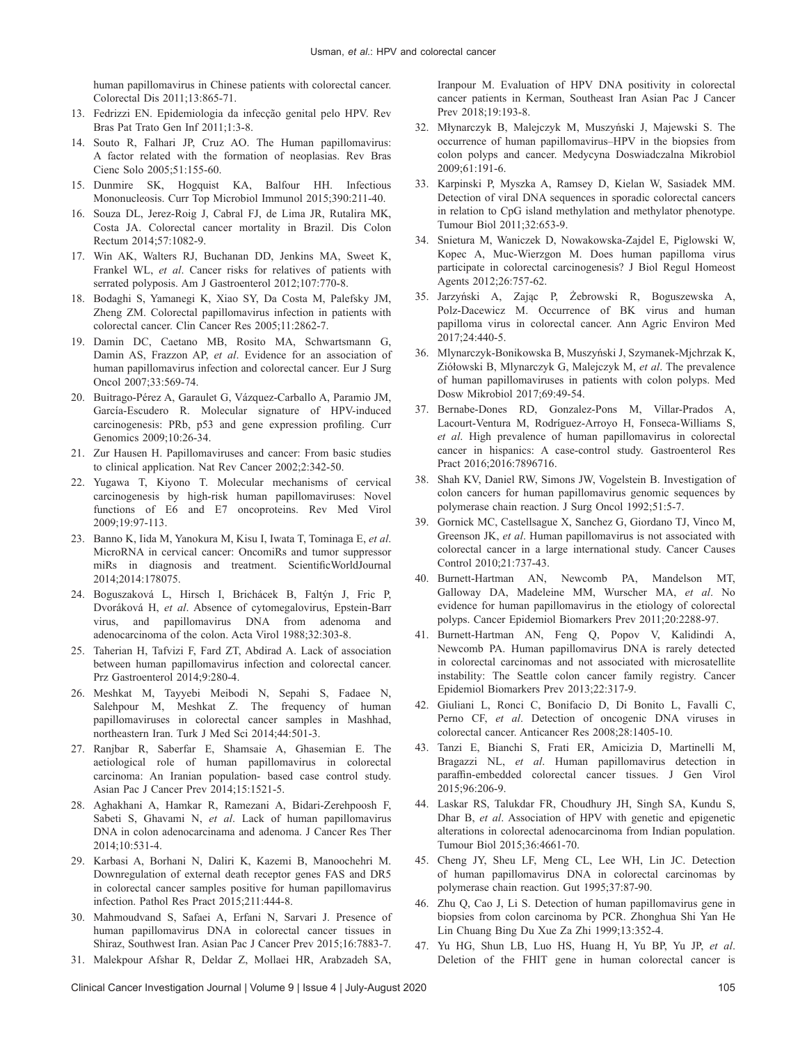human papillomavirus in Chinese patients with colorectal cancer. Colorectal Dis 2011;13:865‑71.

- 13. Fedrizzi EN. Epidemiologia da infecção genital pelo HPV. Rev Bras Pat Trato Gen Inf 2011;1:3‑8.
- 14. Souto R, Falhari JP, Cruz AO. The Human papillomavirus: A factor related with the formation of neoplasias. Rev Bras Cienc Solo 2005;51:155‑60.
- 15. Dunmire SK, Hogquist KA, Balfour HH. Infectious Mononucleosis. Curr Top Microbiol Immunol 2015;390:211-40.
- 16. Souza DL, Jerez‑Roig J, Cabral FJ, de Lima JR, Rutalira MK, Costa JA. Colorectal cancer mortality in Brazil. Dis Colon Rectum 2014;57:1082‑9.
- 17. Win AK, Walters RJ, Buchanan DD, Jenkins MA, Sweet K, Frankel WL, *et al*. Cancer risks for relatives of patients with serrated polyposis. Am J Gastroenterol 2012;107:770-8.
- 18. Bodaghi S, Yamanegi K, Xiao SY, Da Costa M, Palefsky JM, Zheng ZM. Colorectal papillomavirus infection in patients with colorectal cancer. Clin Cancer Res 2005;11:2862‑7.
- 19. Damin DC, Caetano MB, Rosito MA, Schwartsmann G, Damin AS, Frazzon AP, *et al*. Evidence for an association of human papillomavirus infection and colorectal cancer. Eur J Surg Oncol 2007;33:569-74.
- 20. Buitrago‑Pérez A, Garaulet G, Vázquez‑Carballo A, Paramio JM, García-Escudero R. Molecular signature of HPV-induced carcinogenesis: PRb, p53 and gene expression profiling. Curr Genomics 2009;10:26‑34.
- 21. Zur Hausen H. Papillomaviruses and cancer: From basic studies to clinical application. Nat Rev Cancer 2002;2:342‑50.
- 22. Yugawa T, Kiyono T. Molecular mechanisms of cervical carcinogenesis by high-risk human papillomaviruses: Novel functions of E6 and E7 oncoproteins. Rev Med Virol 2009;19:97‑113.
- 23. Banno K, Iida M, Yanokura M, Kisu I, Iwata T, Tominaga E, *et al*. MicroRNA in cervical cancer: OncomiRs and tumor suppressor miRs in diagnosis and treatment. ScientificWorldJournal 2014;2014:178075.
- 24. Boguszaková L, Hirsch I, Brichácek B, Faltýn J, Fric P, Dvoráková H, *et al*. Absence of cytomegalovirus, Epstein‑Barr virus, and papillomavirus DNA from adenoma and adenocarcinoma of the colon. Acta Virol 1988;32:303‑8.
- 25. Taherian H, Tafvizi F, Fard ZT, Abdirad A. Lack of association between human papillomavirus infection and colorectal cancer. Prz Gastroenterol 2014;9:280‑4.
- 26. Meshkat M, Tayyebi Meibodi N, Sepahi S, Fadaee N, Salehpour M, Meshkat Z. The frequency of human papillomaviruses in colorectal cancer samples in Mashhad, northeastern Iran. Turk J Med Sci 2014;44:501‑3.
- 27. Ranjbar R, Saberfar E, Shamsaie A, Ghasemian E. The aetiological role of human papillomavirus in colorectal carcinoma: An Iranian population‑ based case control study. Asian Pac J Cancer Prev 2014;15:1521-5.
- 28. Aghakhani A, Hamkar R, Ramezani A, Bidari‑Zerehpoosh F, Sabeti S, Ghavami N, *et al*. Lack of human papillomavirus DNA in colon adenocarcinama and adenoma. J Cancer Res Ther 2014;10:531‑4.
- 29. Karbasi A, Borhani N, Daliri K, Kazemi B, Manoochehri M. Downregulation of external death receptor genes FAS and DR5 in colorectal cancer samples positive for human papillomavirus infection. Pathol Res Pract 2015;211:444‑8.
- 30. Mahmoudvand S, Safaei A, Erfani N, Sarvari J. Presence of human papillomavirus DNA in colorectal cancer tissues in Shiraz, Southwest Iran. Asian Pac J Cancer Prev 2015;16:7883‑7.
- 31. Malekpour Afshar R, Deldar Z, Mollaei HR, Arabzadeh SA,

Iranpour M. Evaluation of HPV DNA positivity in colorectal cancer patients in Kerman, Southeast Iran Asian Pac J Cancer Prev 2018:19:193-8.

- 32. Młynarczyk B, Malejczyk M, Muszyński J, Majewski S. The occurrence of human papillomavirus–HPV in the biopsies from colon polyps and cancer. Medycyna Doswiadczalna Mikrobiol 2009;61:191‑6.
- 33. Karpinski P, Myszka A, Ramsey D, Kielan W, Sasiadek MM. Detection of viral DNA sequences in sporadic colorectal cancers in relation to CpG island methylation and methylator phenotype. Tumour Biol 2011;32:653‑9.
- 34. Snietura M, Waniczek D, Nowakowska‑Zajdel E, Piglowski W, Kopec A, Muc‑Wierzgon M. Does human papilloma virus participate in colorectal carcinogenesis? J Biol Regul Homeost Agents 2012;26:757‑62.
- 35. Jarzyński A, Zając P, Żebrowski R, Boguszewska A, Polz‑Dacewicz M. Occurrence of BK virus and human papilloma virus in colorectal cancer. Ann Agric Environ Med 2017;24:440‑5.
- 36. Mlynarczyk‑Bonikowska B, Muszyński J, Szymanek‑Mjchrzak K, Ziółowski B, Mlynarczyk G, Malejczyk M, *et al*. The prevalence of human papillomaviruses in patients with colon polyps. Med Dosw Mikrobiol 2017;69:49‑54.
- 37. Bernabe‑Dones RD, Gonzalez‑Pons M, Villar‑Prados A, Lacourt-Ventura M, Rodríguez-Arroyo H, Fonseca-Williams S, *et al*. High prevalence of human papillomavirus in colorectal cancer in hispanics: A case‑control study. Gastroenterol Res Pract 2016;2016:7896716.
- 38. Shah KV, Daniel RW, Simons JW, Vogelstein B. Investigation of colon cancers for human papillomavirus genomic sequences by polymerase chain reaction. J Surg Oncol 1992;51:5‑7.
- 39. Gornick MC, Castellsague X, Sanchez G, Giordano TJ, Vinco M, Greenson JK, *et al*. Human papillomavirus is not associated with colorectal cancer in a large international study. Cancer Causes Control 2010;21:737‑43.
- 40. Burnett‑Hartman AN, Newcomb PA, Mandelson MT, Galloway DA, Madeleine MM, Wurscher MA, *et al*. No evidence for human papillomavirus in the etiology of colorectal polyps. Cancer Epidemiol Biomarkers Prev 2011;20:2288‑97.
- 41. Burnett-Hartman AN, Feng Q, Popov V, Kalidindi A, Newcomb PA. Human papillomavirus DNA is rarely detected in colorectal carcinomas and not associated with microsatellite instability: The Seattle colon cancer family registry. Cancer Epidemiol Biomarkers Prev 2013;22:317‑9.
- 42. Giuliani L, Ronci C, Bonifacio D, Di Bonito L, Favalli C, Perno CF, *et al*. Detection of oncogenic DNA viruses in colorectal cancer. Anticancer Res 2008;28:1405‑10.
- 43. Tanzi E, Bianchi S, Frati ER, Amicizia D, Martinelli M, Bragazzi NL, *et al*. Human papillomavirus detection in paraffin‑embedded colorectal cancer tissues. J Gen Virol 2015;96:206‑9.
- 44. Laskar RS, Talukdar FR, Choudhury JH, Singh SA, Kundu S, Dhar B, *et al*. Association of HPV with genetic and epigenetic alterations in colorectal adenocarcinoma from Indian population. Tumour Biol 2015;36:4661‑70.
- 45. Cheng JY, Sheu LF, Meng CL, Lee WH, Lin JC. Detection of human papillomavirus DNA in colorectal carcinomas by polymerase chain reaction. Gut 1995;37:87‑90.
- 46. Zhu Q, Cao J, Li S. Detection of human papillomavirus gene in biopsies from colon carcinoma by PCR. Zhonghua Shi Yan He Lin Chuang Bing Du Xue Za Zhi 1999;13:352‑4.
- 47. Yu HG, Shun LB, Luo HS, Huang H, Yu BP, Yu JP, *et al*. Deletion of the FHIT gene in human colorectal cancer is